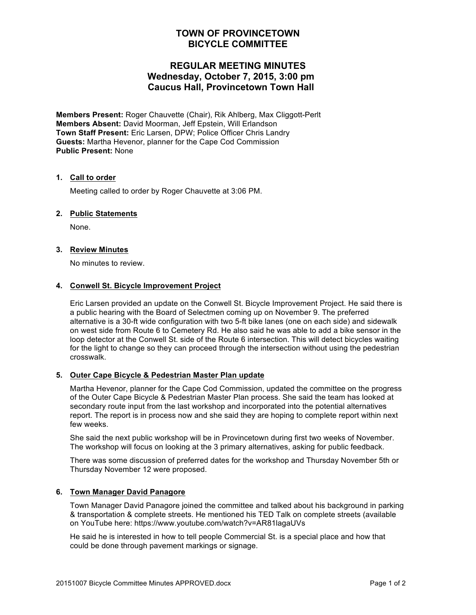## **TOWN OF PROVINCETOWN BICYCLE COMMITTEE**

# **REGULAR MEETING MINUTES Wednesday, October 7, 2015, 3:00 pm Caucus Hall, Provincetown Town Hall**

**Members Present:** Roger Chauvette (Chair), Rik Ahlberg, Max Cliggott-Perlt **Members Absent:** David Moorman, Jeff Epstein, Will Erlandson **Town Staff Present:** Eric Larsen, DPW; Police Officer Chris Landry **Guests:** Martha Hevenor, planner for the Cape Cod Commission **Public Present:** None

## **1. Call to order**

Meeting called to order by Roger Chauvette at 3:06 PM.

## **2. Public Statements**

None.

## **3. Review Minutes**

No minutes to review.

## **4. Conwell St. Bicycle Improvement Project**

Eric Larsen provided an update on the Conwell St. Bicycle Improvement Project. He said there is a public hearing with the Board of Selectmen coming up on November 9. The preferred alternative is a 30-ft wide configuration with two 5-ft bike lanes (one on each side) and sidewalk on west side from Route 6 to Cemetery Rd. He also said he was able to add a bike sensor in the loop detector at the Conwell St. side of the Route 6 intersection. This will detect bicycles waiting for the light to change so they can proceed through the intersection without using the pedestrian crosswalk.

## **5. Outer Cape Bicycle & Pedestrian Master Plan update**

Martha Hevenor, planner for the Cape Cod Commission, updated the committee on the progress of the Outer Cape Bicycle & Pedestrian Master Plan process. She said the team has looked at secondary route input from the last workshop and incorporated into the potential alternatives report. The report is in process now and she said they are hoping to complete report within next few weeks.

She said the next public workshop will be in Provincetown during first two weeks of November. The workshop will focus on looking at the 3 primary alternatives, asking for public feedback.

There was some discussion of preferred dates for the workshop and Thursday November 5th or Thursday November 12 were proposed.

## **6. Town Manager David Panagore**

Town Manager David Panagore joined the committee and talked about his background in parking & transportation & complete streets. He mentioned his TED Talk on complete streets (available on YouTube here: https://www.youtube.com/watch?v=AR81lagaUVs

He said he is interested in how to tell people Commercial St. is a special place and how that could be done through pavement markings or signage.